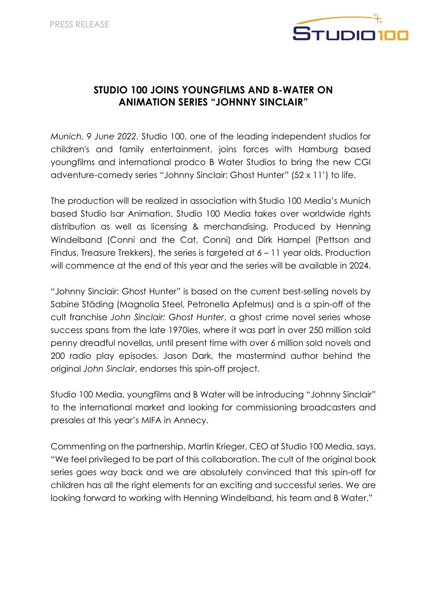

# **STUDIO 100 JOINS YOUNGFILMS AND B-WATER ON ANIMATION SERIES "JOHNNY SINCLAIR"**

*Munich, 9 June 2022.* Studio 100, one of the leading independent studios for children's and family entertainment, joins forces with Hamburg based youngfilms and international prodco B Water Studios to bring the new CGI adventure-comedy series "Johnny Sinclair: Ghost Hunter" (52 x 11') to life.

The production will be realized in association with Studio 100 Media's Munich based Studio Isar Animation. Studio 100 Media takes over worldwide rights distribution as well as licensing & merchandising. Produced by Henning Windelband (Conni and the Cat, Conni) and Dirk Hampel (Pettson and Findus, Treasure Trekkers), the series is targeted at 6 – 11 year olds. Production will commence at the end of this year and the series will be available in 2024.

"Johnny Sinclair: Ghost Hunter" is based on the current best-selling novels by Sabine Städing (Magnolia Steel, Petronella Apfelmus) and is a spin-off of the cult franchise *John Sinclair: Ghost Hunter*, a ghost crime novel series whose success spans from the late 1970ies, where it was part in over 250 million sold penny dreadful novellas, until present time with over 6 million sold novels and 200 radio play episodes. Jason Dark, the mastermind author behind the original *John Sinclair*, endorses this spin-off project.

Studio 100 Media, youngfilms and B Water will be introducing "Johnny Sinclair" to the international market and looking for commissioning broadcasters and presales at this year's MIFA in Annecy.

Commenting on the partnership, Martin Krieger, CEO at Studio 100 Media, says, "We feel privileged to be part of this collaboration. The cult of the original book series goes way back and we are absolutely convinced that this spin-off for children has all the right elements for an exciting and successful series. We are looking forward to working with Henning Windelband, his team and B Water."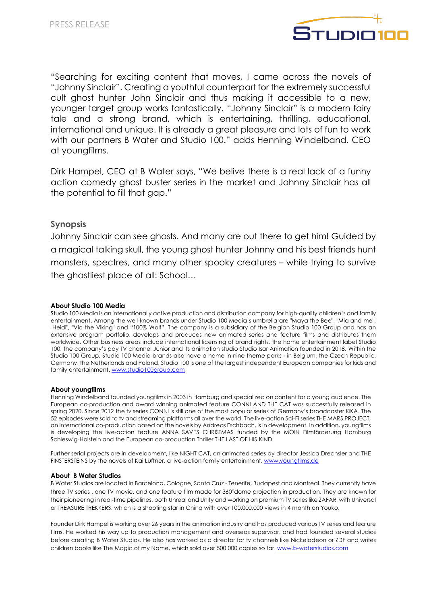

"Searching for exciting content that moves, I came across the novels of "Johnny Sinclair". Creating a youthful counterpart for the extremely successful cult ghost hunter John Sinclair and thus making it accessible to a new, younger target group works fantastically. "Johnny Sinclair" is a modern fairy tale and a strong brand, which is entertaining, thrilling, educational, international and unique. It is already a great pleasure and lots of fun to work with our partners B Water and Studio 100." adds Henning Windelband, CEO at youngfilms.

Dirk Hampel, CEO at B Water says, "We belive there is a real lack of a funny action comedy ghost buster series in the market and Johnny Sinclair has all the potential to fill that gap."

## **Synopsis**

Johnny Sinclair can see ghosts. And many are out there to get him! Guided by a magical talking skull, the young ghost hunter Johnny and his best friends hunt monsters, spectres, and many other spooky creatures – while trying to survive the ghastliest place of all: School…

#### **About Studio 100 Media**

Studio 100 Media is an internationally active production and distribution company for high-quality children's and family entertainment. Among the well-known brands under Studio 100 Media's umbrella are "Maya the Bee", "Mia and me", "Heidi", "Vic the Viking" and "100% Wolf". The company is a subsidiary of the Belgian Studio 100 Group and has an extensive program portfolio, develops and produces new animated series and feature films and distributes them worldwide. Other business areas include international licensing of brand rights, the home entertainment label Studio 100, the company's pay TV channel Junior and its animation studio Studio Isar Animation founded in 2018. Within the Studio 100 Group, Studio 100 Media brands also have a home in nine theme parks - in Belgium, the Czech Republic, Germany, the Netherlands and Poland. Studio 100 is one of the largest independent European companies for kids and family entertainment. www.studio100group.com

#### **About youngfilms**

Henning Windelband founded youngfilms in 2003 in Hamburg and specialized on content for a young audience. The European co-production and award winning animated feature CONNI AND THE CAT was successfully released in spring 2020. Since 2012 the tv series CONNI is still one of the most popular series of Germany's broadcaster KiKA. The 52 episodes were sold to tv and streaming platforms all over the world. The live-action Sci-Fi series THE MARS PROJECT, an international co-production based on the novels by Andreas Eschbach, is in development. In addition, youngfilms is developing the live-action feature ANNA SAVES CHRISTMAS funded by the MOIN Filmförderung Hamburg Schleswig-Holstein and the European co-production Thriller THE LAST OF HIS KIND.

Further serial projects are in development, like NIGHT CAT, an animated series by director Jessica Drechsler and THE FINSTERSTEINS by the novels of Kai Lüftner, a live-action family entertainment. www.youngfilms.de

#### **About B Water Studios**

B Water Studios are located in Barcelona, Cologne, Santa Cruz - Tenerife, Budapest and Montreal. They currently have three TV series , one TV movie, and one feature film made for 360°dome projection in production. They are known for their pioneering in real-time pipelines, both Unreal and Unity and working on premium TV series like ZAFARI with Universal or TREASURE TREKKERS, which is a shooting star in China with over 100.000.000 views in 4 month on Youko.

Founder Dirk Hampel is working over 26 years in the animation industry and has produced various TV series and feature films. He worked his way up to production management and overseas supervisor, and had founded several studios before creating B Water Studios. He also has worked as a director for tv channels like Nickelodeon or ZDF and writes children books like The Magic of my Name, which sold over 500.000 copies so far. www.b-waterstudios.com